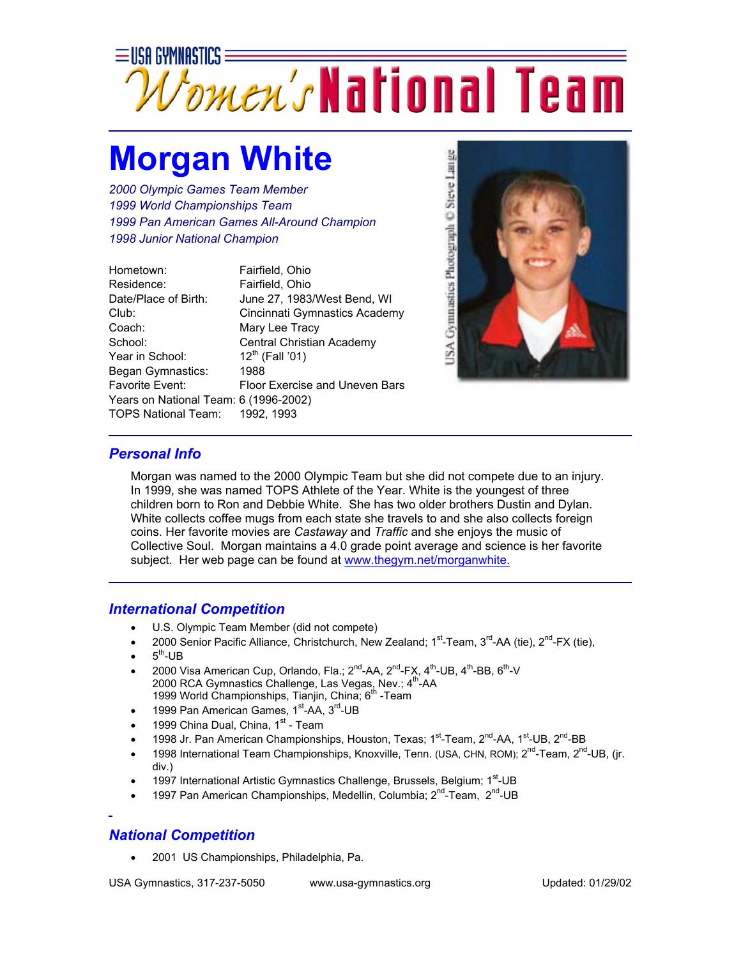

## **Morgan White**

*2000 Olympic Games Team Member 1999 World Championships Team 1999 Pan American Games All-Around Champion 1998 Junior National Champion*

| Hometown:                             | Fairfield, Ohio                |
|---------------------------------------|--------------------------------|
| Residence:                            | Fairfield, Ohio                |
| Date/Place of Birth:                  | June 27, 1983/West Bend, WI    |
| Club:                                 | Cincinnati Gymnastics Academy  |
| Coach:                                | Mary Lee Tracy                 |
| School:                               | Central Christian Academy      |
| Year in School:                       | $12^{th}$ (Fall '01)           |
| Began Gymnastics:                     | 1988                           |
| <b>Favorite Event:</b>                | Floor Exercise and Uneven Bars |
| Years on National Team: 6 (1996-2002) |                                |
| TOPS National Team: 1992, 1993        |                                |



## *Personal Info*

Morgan was named to the 2000 Olympic Team but she did not compete due to an injury. In 1999, she was named TOPS Athlete of the Year. White is the youngest of three children born to Ron and Debbie White. She has two older brothers Dustin and Dylan. White collects coffee mugs from each state she travels to and she also collects foreign coins. Her favorite movies are *Castaway* and *Traffic* and she enjoys the music of Collective Soul. Morgan maintains a 4.0 grade point average and science is her favorite subject. Her web page can be found at [www.thegym.net/morganwhite.](http://www.thegym.net/morganwhite)

## *International Competition*

- U.S. Olympic Team Member (did not compete)
- 2000 Senior Pacific Alliance, Christchurch, New Zealand;  $1<sup>st</sup>$ -Team,  $3<sup>rd</sup>$ -AA (tie),  $2<sup>nd</sup>$ -FX (tie),
- $5<sup>th</sup>$ -UB
- 2000 Visa American Cup, Orlando, Fla.; 2<sup>nd</sup>-AA, 2<sup>nd</sup>-FX, 4<sup>th</sup>-UB, 4<sup>th</sup>-BB, 6<sup>th</sup>-V 2000 RCA Gymnastics Challenge, Las Vegas, Nev.; 4<sup>th</sup>-AA 1999 World Championships, Tianjin, China; 6<sup>th</sup> -Team
- 1999 Pan American Games,  $1<sup>st</sup>$ -AA,  $3<sup>rd</sup>$ -UB
- 1999 China Dual, China, 1st Team
- 1998 Jr. Pan American Championships, Houston, Texas; 1<sup>st</sup>-Team, 2<sup>nd</sup>-AA, 1<sup>st</sup>-UB, 2<sup>nd</sup>-BB
- 1998 International Team Championships, Knoxville, Tenn. (USA, CHN, ROM); 2<sup>nd</sup>-Team, 2<sup>nd</sup>-UB, (jr. div.)
- 1997 International Artistic Gymnastics Challenge, Brussels, Belgium; 1<sup>st</sup>-UB
- 1997 Pan American Championships, Medellin, Columbia: 2<sup>nd</sup>-Team, 2<sup>nd</sup>-UB

## *National Competition*

• 2001 US Championships, Philadelphia, Pa.

USA Gymnastics, 317-237-5050 www.usa-gymnastics.org Updated: 01/29/02